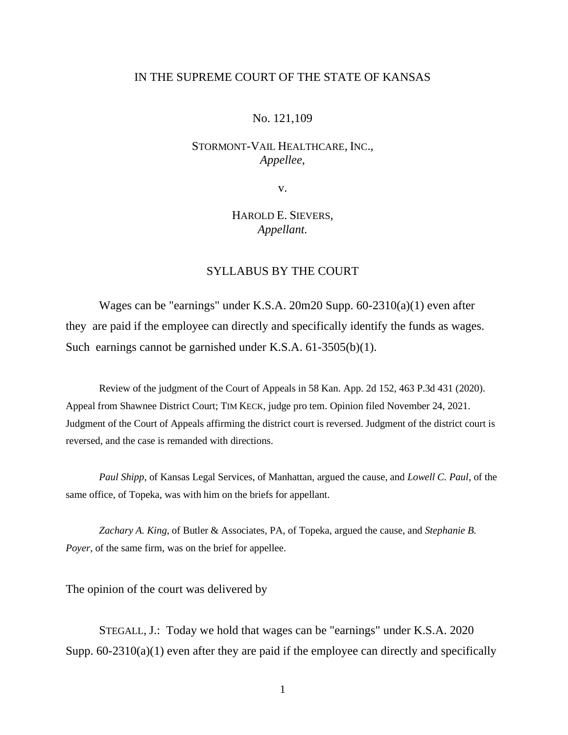## IN THE SUPREME COURT OF THE STATE OF KANSAS

### No. 121,109

# STORMONT-VAIL HEALTHCARE, INC., *Appellee,*

v.

# HAROLD E. SIEVERS, *Appellant.*

# SYLLABUS BY THE COURT

Wages can be "earnings" under K.S.A. 20m20 Supp. 60-2310(a)(1) even after they are paid if the employee can directly and specifically identify the funds as wages. Such earnings cannot be garnished under K.S.A. 61-3505(b)(1).

Review of the judgment of the Court of Appeals in 58 Kan. App. 2d 152, 463 P.3d 431 (2020). Appeal from Shawnee District Court; TIM KECK, judge pro tem. Opinion filed November 24, 2021. Judgment of the Court of Appeals affirming the district court is reversed. Judgment of the district court is reversed, and the case is remanded with directions.

*Paul Shipp*, of Kansas Legal Services, of Manhattan, argued the cause, and *Lowell C. Paul*, of the same office, of Topeka, was with him on the briefs for appellant.

*Zachary A. King*, of Butler & Associates, PA, of Topeka, argued the cause, and *Stephanie B. Poyer*, of the same firm, was on the brief for appellee.

The opinion of the court was delivered by

STEGALL, J.: Today we hold that wages can be "earnings" under K.S.A. 2020 Supp.  $60-2310(a)(1)$  even after they are paid if the employee can directly and specifically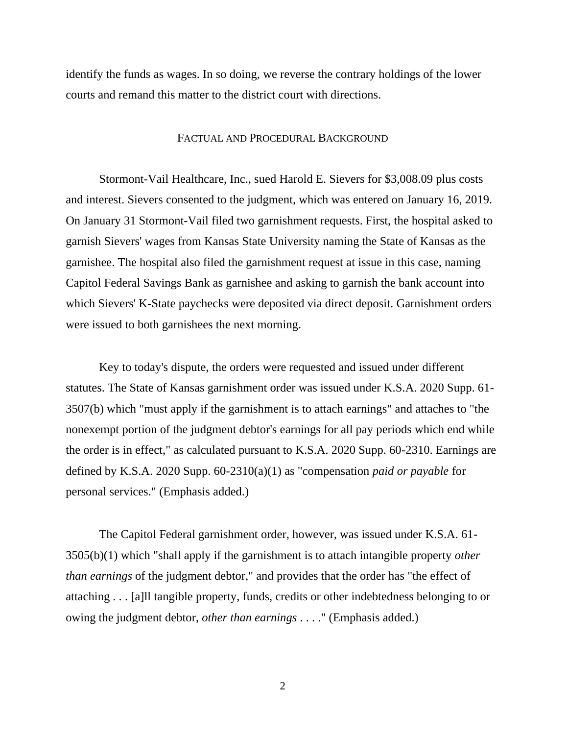identify the funds as wages. In so doing, we reverse the contrary holdings of the lower courts and remand this matter to the district court with directions.

#### FACTUAL AND PROCEDURAL BACKGROUND

Stormont-Vail Healthcare, Inc., sued Harold E. Sievers for \$3,008.09 plus costs and interest. Sievers consented to the judgment, which was entered on January 16, 2019. On January 31 Stormont-Vail filed two garnishment requests. First, the hospital asked to garnish Sievers' wages from Kansas State University naming the State of Kansas as the garnishee. The hospital also filed the garnishment request at issue in this case, naming Capitol Federal Savings Bank as garnishee and asking to garnish the bank account into which Sievers' K-State paychecks were deposited via direct deposit. Garnishment orders were issued to both garnishees the next morning.

Key to today's dispute, the orders were requested and issued under different statutes. The State of Kansas garnishment order was issued under K.S.A. 2020 Supp. 61- 3507(b) which "must apply if the garnishment is to attach earnings" and attaches to "the nonexempt portion of the judgment debtor's earnings for all pay periods which end while the order is in effect," as calculated pursuant to K.S.A. 2020 Supp. 60-2310. Earnings are defined by K.S.A. 2020 Supp. 60-2310(a)(1) as "compensation *paid or payable* for personal services." (Emphasis added.)

The Capitol Federal garnishment order, however, was issued under K.S.A. 61- 3505(b)(1) which "shall apply if the garnishment is to attach intangible property *other than earnings* of the judgment debtor," and provides that the order has "the effect of attaching . . . [a]ll tangible property, funds, credits or other indebtedness belonging to or owing the judgment debtor, *other than earnings* . . . ." (Emphasis added.)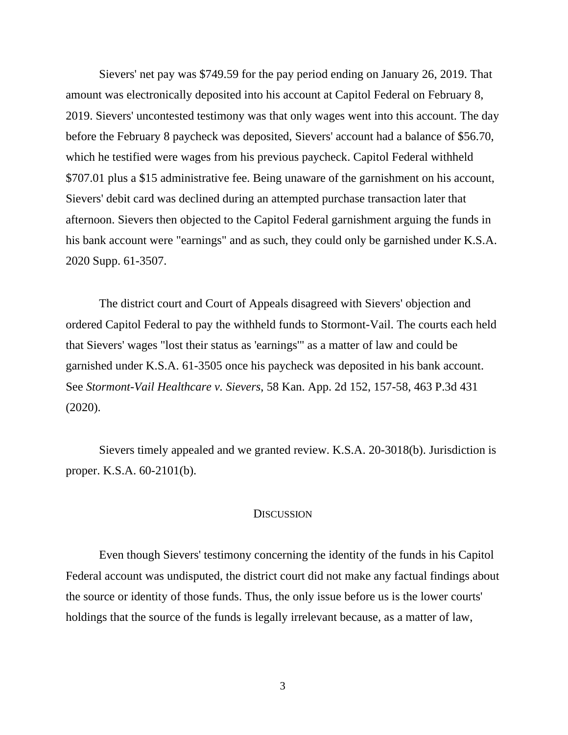Sievers' net pay was \$749.59 for the pay period ending on January 26, 2019. That amount was electronically deposited into his account at Capitol Federal on February 8, 2019. Sievers' uncontested testimony was that only wages went into this account. The day before the February 8 paycheck was deposited, Sievers' account had a balance of \$56.70, which he testified were wages from his previous paycheck. Capitol Federal withheld \$707.01 plus a \$15 administrative fee. Being unaware of the garnishment on his account, Sievers' debit card was declined during an attempted purchase transaction later that afternoon. Sievers then objected to the Capitol Federal garnishment arguing the funds in his bank account were "earnings" and as such, they could only be garnished under K.S.A. 2020 Supp. 61-3507.

The district court and Court of Appeals disagreed with Sievers' objection and ordered Capitol Federal to pay the withheld funds to Stormont-Vail. The courts each held that Sievers' wages "lost their status as 'earnings'" as a matter of law and could be garnished under K.S.A. 61-3505 once his paycheck was deposited in his bank account. See *Stormont-Vail Healthcare v. Sievers*, 58 Kan. App. 2d 152, 157-58, 463 P.3d 431 (2020).

Sievers timely appealed and we granted review. K.S.A. 20-3018(b). Jurisdiction is proper. K.S.A. 60-2101(b).

## **DISCUSSION**

Even though Sievers' testimony concerning the identity of the funds in his Capitol Federal account was undisputed, the district court did not make any factual findings about the source or identity of those funds. Thus, the only issue before us is the lower courts' holdings that the source of the funds is legally irrelevant because, as a matter of law,

3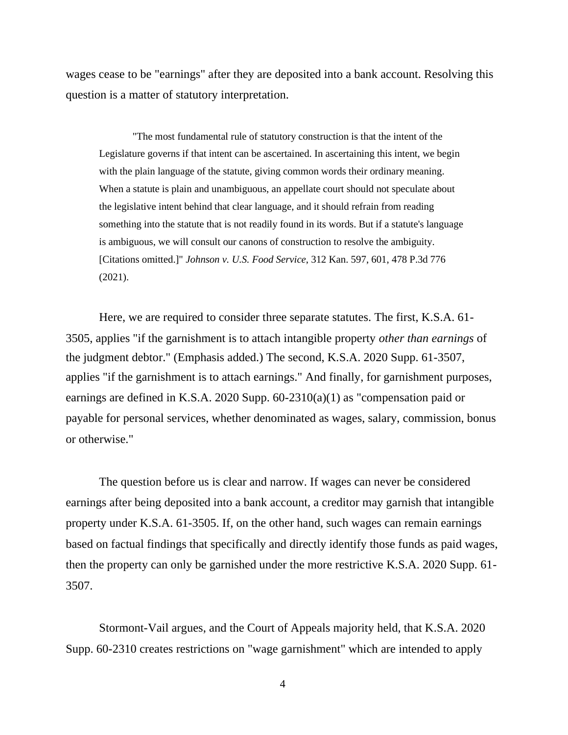wages cease to be "earnings" after they are deposited into a bank account. Resolving this question is a matter of statutory interpretation.

"The most fundamental rule of statutory construction is that the intent of the Legislature governs if that intent can be ascertained. In ascertaining this intent, we begin with the plain language of the statute, giving common words their ordinary meaning. When a statute is plain and unambiguous, an appellate court should not speculate about the legislative intent behind that clear language, and it should refrain from reading something into the statute that is not readily found in its words. But if a statute's language is ambiguous, we will consult our canons of construction to resolve the ambiguity. [Citations omitted.]" *Johnson v. U.S. Food Service*, 312 Kan. 597, 601, 478 P.3d 776 (2021).

Here, we are required to consider three separate statutes. The first, K.S.A. 61- 3505, applies "if the garnishment is to attach intangible property *other than earnings* of the judgment debtor." (Emphasis added.) The second, K.S.A. 2020 Supp. 61-3507, applies "if the garnishment is to attach earnings." And finally, for garnishment purposes, earnings are defined in K.S.A. 2020 Supp. 60-2310(a)(1) as "compensation paid or payable for personal services, whether denominated as wages, salary, commission, bonus or otherwise."

The question before us is clear and narrow. If wages can never be considered earnings after being deposited into a bank account, a creditor may garnish that intangible property under K.S.A. 61-3505. If, on the other hand, such wages can remain earnings based on factual findings that specifically and directly identify those funds as paid wages, then the property can only be garnished under the more restrictive K.S.A. 2020 Supp. 61- 3507.

Stormont-Vail argues, and the Court of Appeals majority held, that K.S.A. 2020 Supp. 60-2310 creates restrictions on "wage garnishment" which are intended to apply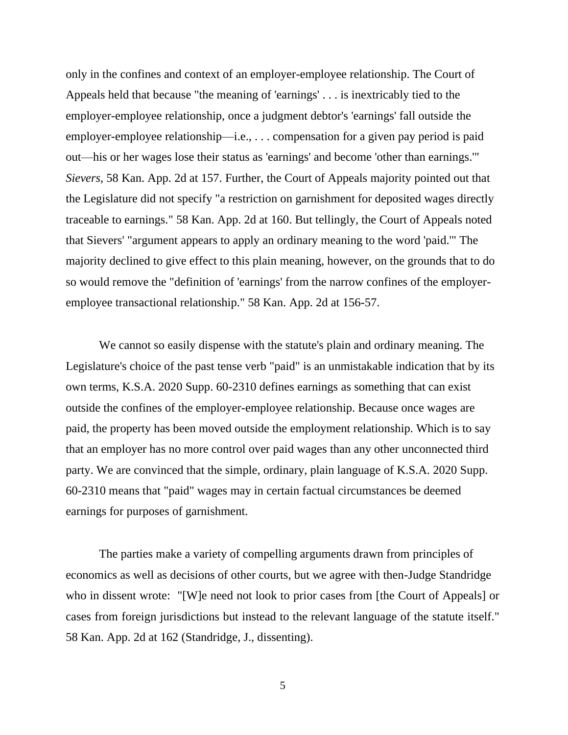only in the confines and context of an employer-employee relationship. The Court of Appeals held that because "the meaning of 'earnings' . . . is inextricably tied to the employer-employee relationship, once a judgment debtor's 'earnings' fall outside the employer-employee relationship—i.e., . . . compensation for a given pay period is paid out—his or her wages lose their status as 'earnings' and become 'other than earnings.'" *Sievers*, 58 Kan. App. 2d at 157. Further, the Court of Appeals majority pointed out that the Legislature did not specify "a restriction on garnishment for deposited wages directly traceable to earnings." 58 Kan. App. 2d at 160. But tellingly, the Court of Appeals noted that Sievers' "argument appears to apply an ordinary meaning to the word 'paid.'" The majority declined to give effect to this plain meaning, however, on the grounds that to do so would remove the "definition of 'earnings' from the narrow confines of the employeremployee transactional relationship." 58 Kan. App. 2d at 156-57.

We cannot so easily dispense with the statute's plain and ordinary meaning. The Legislature's choice of the past tense verb "paid" is an unmistakable indication that by its own terms, K.S.A. 2020 Supp. 60-2310 defines earnings as something that can exist outside the confines of the employer-employee relationship. Because once wages are paid, the property has been moved outside the employment relationship. Which is to say that an employer has no more control over paid wages than any other unconnected third party. We are convinced that the simple, ordinary, plain language of K.S.A. 2020 Supp. 60-2310 means that "paid" wages may in certain factual circumstances be deemed earnings for purposes of garnishment.

The parties make a variety of compelling arguments drawn from principles of economics as well as decisions of other courts, but we agree with then-Judge Standridge who in dissent wrote: "[W]e need not look to prior cases from [the Court of Appeals] or cases from foreign jurisdictions but instead to the relevant language of the statute itself." 58 Kan. App. 2d at 162 (Standridge, J., dissenting).

5